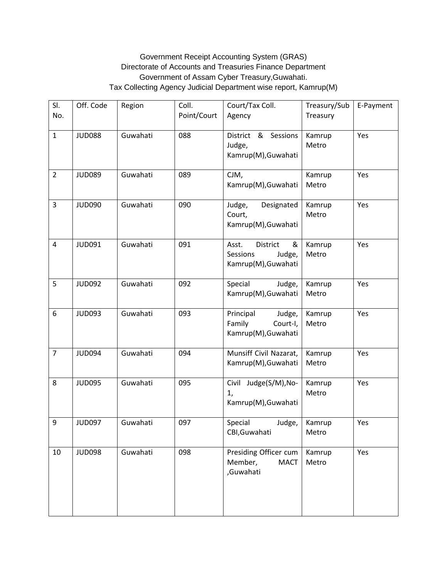## Government Receipt Accounting System (GRAS) Directorate of Accounts and Treasuries Finance Department Government of Assam Cyber Treasury,Guwahati. Tax Collecting Agency Judicial Department wise report, Kamrup(M)

| SI.<br>No.     | Off. Code     | Region   | Coll.<br>Point/Court | Court/Tax Coll.<br>Agency                                           | Treasury/Sub<br>Treasury | E-Payment |
|----------------|---------------|----------|----------------------|---------------------------------------------------------------------|--------------------------|-----------|
| $\mathbf{1}$   | <b>JUD088</b> | Guwahati | 088                  | District & Sessions<br>Judge,<br>Kamrup(M), Guwahati                | Kamrup<br>Metro          | Yes       |
| $\overline{2}$ | <b>JUD089</b> | Guwahati | 089                  | CJM,<br>Kamrup(M), Guwahati                                         | Kamrup<br>Metro          | Yes       |
| 3              | <b>JUD090</b> | Guwahati | 090                  | Judge,<br>Designated<br>Court,<br>Kamrup(M), Guwahati               | Kamrup<br>Metro          | Yes       |
| 4              | <b>JUD091</b> | Guwahati | 091                  | &<br>Asst.<br>District<br>Sessions<br>Judge,<br>Kamrup(M), Guwahati | Kamrup<br>Metro          | Yes       |
| 5              | <b>JUD092</b> | Guwahati | 092                  | Special<br>Judge,<br>Kamrup(M), Guwahati                            | Kamrup<br>Metro          | Yes       |
| 6              | <b>JUD093</b> | Guwahati | 093                  | Principal<br>Judge,<br>Family<br>Court-I,<br>Kamrup(M), Guwahati    | Kamrup<br>Metro          | Yes       |
| $\overline{7}$ | <b>JUD094</b> | Guwahati | 094                  | Munsiff Civil Nazarat,<br>Kamrup(M), Guwahati                       | Kamrup<br>Metro          | Yes       |
| 8              | <b>JUD095</b> | Guwahati | 095                  | Civil<br>Judge(S/M), No-<br>1,<br>Kamrup(M), Guwahati               | Kamrup<br>Metro          | Yes       |
| 9              | <b>JUD097</b> | Guwahati | 097                  | Special<br>Judge,<br>CBI, Guwahati                                  | Kamrup<br>Metro          | Yes       |
| 10             | <b>JUD098</b> | Guwahati | 098                  | Presiding Officer cum<br>Member,<br><b>MACT</b><br>,Guwahati        | Kamrup<br>Metro          | Yes       |